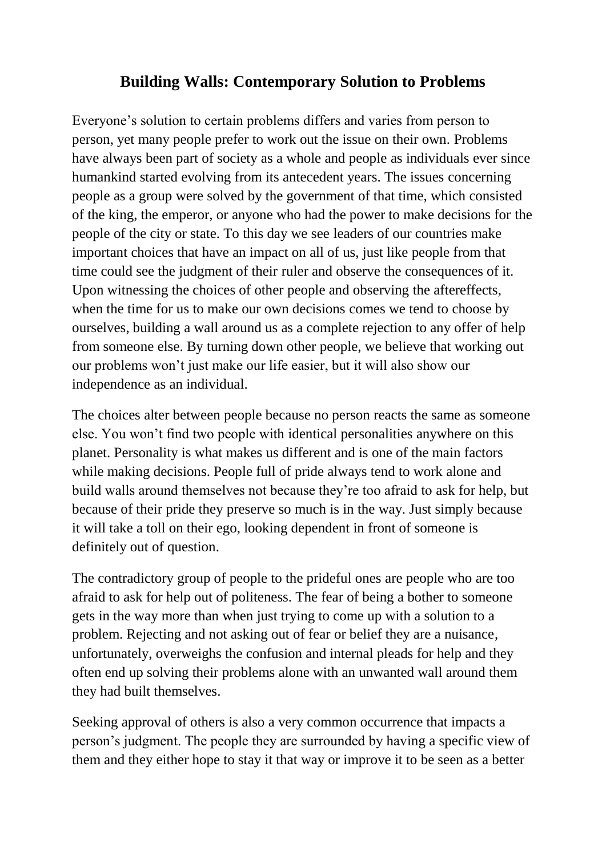## **Building Walls: Contemporary Solution to Problems**

Everyone's solution to certain problems differs and varies from person to person, yet many people prefer to work out the issue on their own. Problems have always been part of society as a whole and people as individuals ever since humankind started evolving from its antecedent years. The issues concerning people as a group were solved by the government of that time, which consisted of the king, the emperor, or anyone who had the power to make decisions for the people of the city or state. To this day we see leaders of our countries make important choices that have an impact on all of us, just like people from that time could see the judgment of their ruler and observe the consequences of it. Upon witnessing the choices of other people and observing the aftereffects, when the time for us to make our own decisions comes we tend to choose by ourselves, building a wall around us as a complete rejection to any offer of help from someone else. By turning down other people, we believe that working out our problems won't just make our life easier, but it will also show our independence as an individual.

The choices alter between people because no person reacts the same as someone else. You won't find two people with identical personalities anywhere on this planet. Personality is what makes us different and is one of the main factors while making decisions. People full of pride always tend to work alone and build walls around themselves not because they're too afraid to ask for help, but because of their pride they preserve so much is in the way. Just simply because it will take a toll on their ego, looking dependent in front of someone is definitely out of question.

The contradictory group of people to the prideful ones are people who are too afraid to ask for help out of politeness. The fear of being a bother to someone gets in the way more than when just trying to come up with a solution to a problem. Rejecting and not asking out of fear or belief they are a nuisance, unfortunately, overweighs the confusion and internal pleads for help and they often end up solving their problems alone with an unwanted wall around them they had built themselves.

Seeking approval of others is also a very common occurrence that impacts a person's judgment. The people they are surrounded by having a specific view of them and they either hope to stay it that way or improve it to be seen as a better